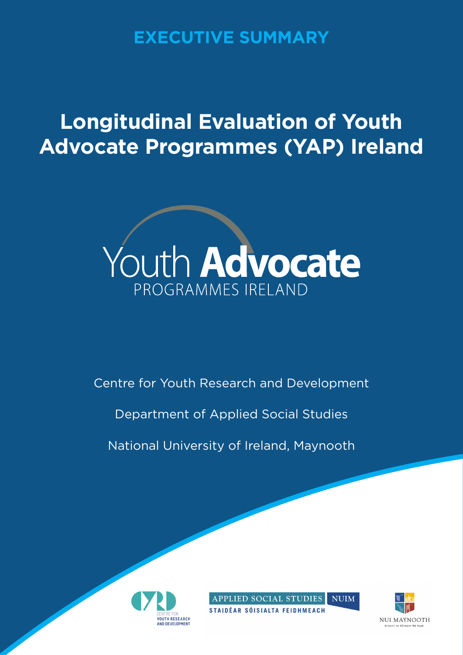## **EXECUTIVE SUMMARY**

# **Longitudinal Evaluation of Youth Advocate Programmes (YAP) Ireland**



Centre for Youth Research and Development

Department of Applied Social Studies

National University of Ireland, Maynooth



**APPLIED SOCIAL STUDIES NUIM** STAIDÉAR SÓISIALTA FEIDHMEACH

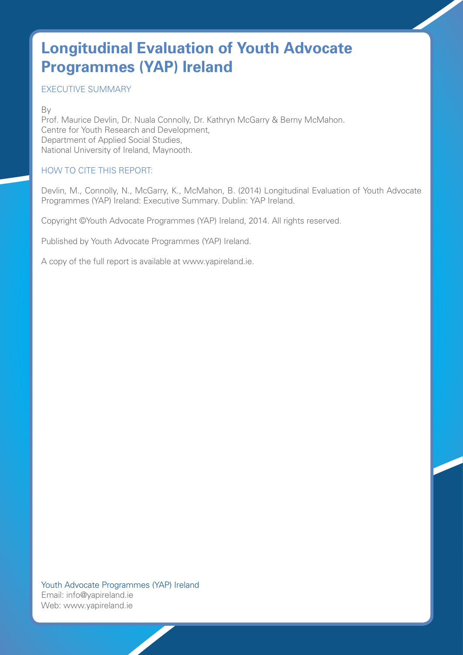## **Longitudinal Evaluation of Youth Advocate Programmes (YAP) Ireland**

#### EXECUTIVE SUMMARY

By

Prof. Maurice Devlin, Dr. Nuala Connolly, Dr. Kathryn McGarry & Berny McMahon. Centre for Youth Research and Development, Department of Applied Social Studies, National University of Ireland, Maynooth.

#### HOW TO CITE THIS REPORT:

Devlin, M., Connolly, N., McGarry, K., McMahon, B. (2014) Longitudinal Evaluation of Youth Advocate Programmes (YAP) Ireland: Executive Summary. Dublin: YAP Ireland.

 **1**

Copyright ©Youth Advocate Programmes (YAP) Ireland, 2014. All rights reserved.

Published by Youth Advocate Programmes (YAP) Ireland.

A copy of the full report is available at www.yapireland.ie.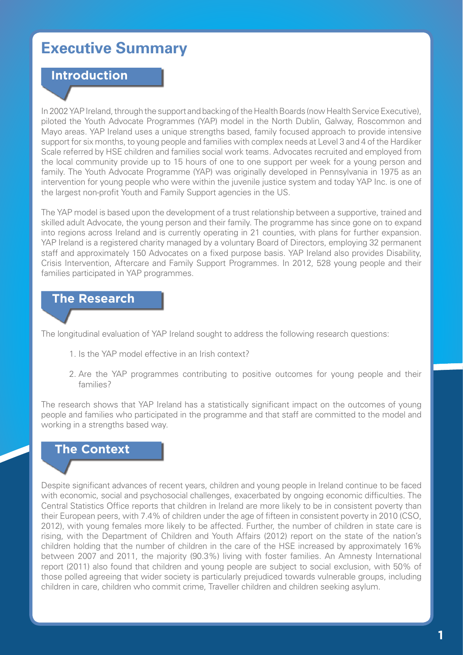## **Executive Summary**

### **Introduction**

In 2002 YAP Ireland, through the support and backing of the Health Boards (now Health Service Executive), piloted the Youth Advocate Programmes (YAP) model in the North Dublin, Galway, Roscommon and Mayo areas. YAP Ireland uses a unique strengths based, family focused approach to provide intensive support for six months, to young people and families with complex needs at Level 3 and 4 of the Hardiker Scale referred by HSE children and families social work teams. Advocates recruited and employed from the local community provide up to 15 hours of one to one support per week for a young person and family. The Youth Advocate Programme (YAP) was originally developed in Pennsylvania in 1975 as an intervention for young people who were within the juvenile justice system and today YAP Inc. is one of the largest non-profit Youth and Family Support agencies in the US.

The YAP model is based upon the development of a trust relationship between a supportive, trained and skilled adult Advocate, the young person and their family. The programme has since gone on to expand into regions across Ireland and is currently operating in 21 counties, with plans for further expansion. YAP Ireland is a registered charity managed by a voluntary Board of Directors, employing 32 permanent staff and approximately 150 Advocates on a fixed purpose basis. YAP Ireland also provides Disability, Crisis Intervention, Aftercare and Family Support Programmes. In 2012, 528 young people and their families participated in YAP programmes.

#### **The Research**

The longitudinal evaluation of YAP Ireland sought to address the following research questions:

- 1. Is the YAP model effective in an Irish context?
- 2. Are the YAP programmes contributing to positive outcomes for young people and their families?

The research shows that YAP Ireland has a statistically significant impact on the outcomes of young people and families who participated in the programme and that staff are committed to the model and working in a strengths based way.

### **The Context**

Despite significant advances of recent years, children and young people in Ireland continue to be faced with economic, social and psychosocial challenges, exacerbated by ongoing economic difficulties. The Central Statistics Office reports that children in Ireland are more likely to be in consistent poverty than their European peers, with 7.4% of children under the age of fifteen in consistent poverty in 2010 (CSO, 2012), with young females more likely to be affected. Further, the number of children in state care is rising, with the Department of Children and Youth Affairs (2012) report on the state of the nation's children holding that the number of children in the care of the HSE increased by approximately 16% between 2007 and 2011, the majority (90.3%) living with foster families. An Amnesty International report (2011) also found that children and young people are subject to social exclusion, with 50% of those polled agreeing that wider society is particularly prejudiced towards vulnerable groups, including children in care, children who commit crime, Traveller children and children seeking asylum.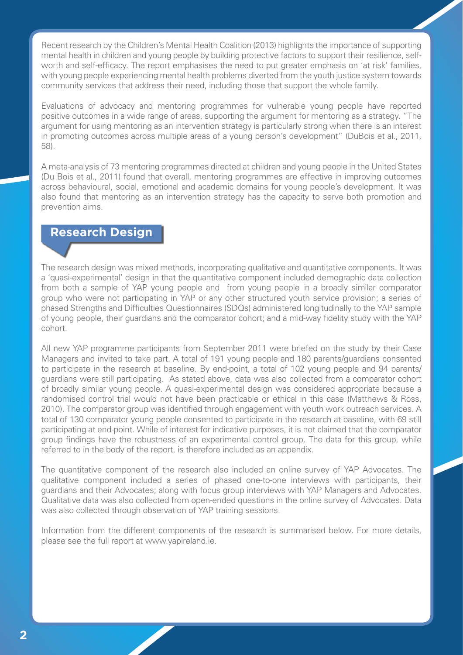Recent research by the Children's Mental Health Coalition (2013) highlights the importance of supporting mental health in children and young people by building protective factors to support their resilience, selfworth and self-efficacy. The report emphasises the need to put greater emphasis on 'at risk' families, with young people experiencing mental health problems diverted from the youth justice system towards community services that address their need, including those that support the whole family.

Evaluations of advocacy and mentoring programmes for vulnerable young people have reported positive outcomes in a wide range of areas, supporting the argument for mentoring as a strategy. "The argument for using mentoring as an intervention strategy is particularly strong when there is an interest in promoting outcomes across multiple areas of a young person's development" (DuBois et al., 2011, 58).

A meta-analysis of 73 mentoring programmes directed at children and young people in the United States (Du Bois et al., 2011) found that overall, mentoring programmes are effective in improving outcomes across behavioural, social, emotional and academic domains for young people's development. It was also found that mentoring as an intervention strategy has the capacity to serve both promotion and prevention aims.

#### **Research Design**

The research design was mixed methods, incorporating qualitative and quantitative components. It was a 'quasi-experimental' design in that the quantitative component included demographic data collection from both a sample of YAP young people and from young people in a broadly similar comparator group who were not participating in YAP or any other structured youth service provision; a series of phased Strengths and Difficulties Questionnaires (SDQs) administered longitudinally to the YAP sample of young people, their guardians and the comparator cohort; and a mid-way fidelity study with the YAP cohort.

All new YAP programme participants from September 2011 were briefed on the study by their Case Managers and invited to take part. A total of 191 young people and 180 parents/guardians consented to participate in the research at baseline. By end-point, a total of 102 young people and 94 parents/ guardians were still participating. As stated above, data was also collected from a comparator cohort of broadly similar young people. A quasi-experimental design was considered appropriate because a randomised control trial would not have been practicable or ethical in this case (Matthews & Ross, 2010). The comparator group was identified through engagement with youth work outreach services. A total of 130 comparator young people consented to participate in the research at baseline, with 69 still participating at end-point. While of interest for indicative purposes, it is not claimed that the comparator group findings have the robustness of an experimental control group. The data for this group, while referred to in the body of the report, is therefore included as an appendix.

The quantitative component of the research also included an online survey of YAP Advocates. The qualitative component included a series of phased one-to-one interviews with participants, their guardians and their Advocates; along with focus group interviews with YAP Managers and Advocates. Qualitative data was also collected from open-ended questions in the online survey of Advocates. Data was also collected through observation of YAP training sessions.

Information from the different components of the research is summarised below. For more details, please see the full report at www.yapireland.ie.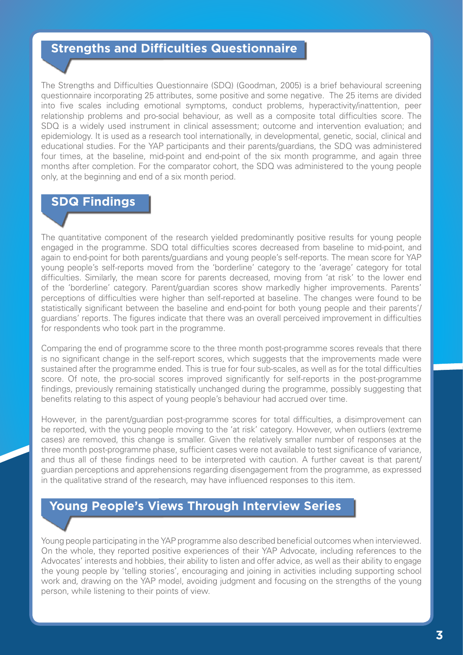## **Strengths and Difficulties Questionnaire**

The Strengths and Difficulties Questionnaire (SDQ) (Goodman, 2005) is a brief behavioural screening questionnaire incorporating 25 attributes, some positive and some negative. The 25 items are divided into five scales including emotional symptoms, conduct problems, hyperactivity/inattention, peer relationship problems and pro-social behaviour, as well as a composite total difficulties score. The SDQ is a widely used instrument in clinical assessment; outcome and intervention evaluation; and epidemiology. It is used as a research tool internationally, in developmental, genetic, social, clinical and educational studies. For the YAP participants and their parents/guardians, the SDQ was administered four times, at the baseline, mid-point and end-point of the six month programme, and again three months after completion. For the comparator cohort, the SDQ was administered to the young people only, at the beginning and end of a six month period.

## **SDQ Findings**

The quantitative component of the research yielded predominantly positive results for young people engaged in the programme. SDQ total difficulties scores decreased from baseline to mid-point, and again to end-point for both parents/guardians and young people's self-reports. The mean score for YAP young people's self-reports moved from the 'borderline' category to the 'average' category for total difficulties. Similarly, the mean score for parents decreased, moving from 'at risk' to the lower end of the 'borderline' category. Parent/guardian scores show markedly higher improvements. Parents' perceptions of difficulties were higher than self-reported at baseline. The changes were found to be statistically significant between the baseline and end-point for both young people and their parents'/ guardians' reports. The figures indicate that there was an overall perceived improvement in difficulties for respondents who took part in the programme.

Comparing the end of programme score to the three month post-programme scores reveals that there is no significant change in the self-report scores, which suggests that the improvements made were sustained after the programme ended. This is true for four sub-scales, as well as for the total difficulties score. Of note, the pro-social scores improved significantly for self-reports in the post-programme findings, previously remaining statistically unchanged during the programme, possibly suggesting that benefits relating to this aspect of young people's behaviour had accrued over time.

However, in the parent/quardian post-programme scores for total difficulties, a disimprovement can be reported, with the young people moving to the 'at risk' category. However, when outliers (extreme cases) are removed, this change is smaller. Given the relatively smaller number of responses at the three month post-programme phase, sufficient cases were not available to test significance of variance, and thus all of these findings need to be interpreted with caution. A further caveat is that parent/ guardian perceptions and apprehensions regarding disengagement from the programme, as expressed in the qualitative strand of the research, may have influenced responses to this item.

### **Young People's Views Through Interview Series**

Young people participating in the YAP programme also described beneficial outcomes when interviewed. On the whole, they reported positive experiences of their YAP Advocate, including references to the Advocates' interests and hobbies, their ability to listen and offer advice, as well as their ability to engage the young people by 'telling stories', encouraging and joining in activities including supporting school work and, drawing on the YAP model, avoiding judgment and focusing on the strengths of the young person, while listening to their points of view.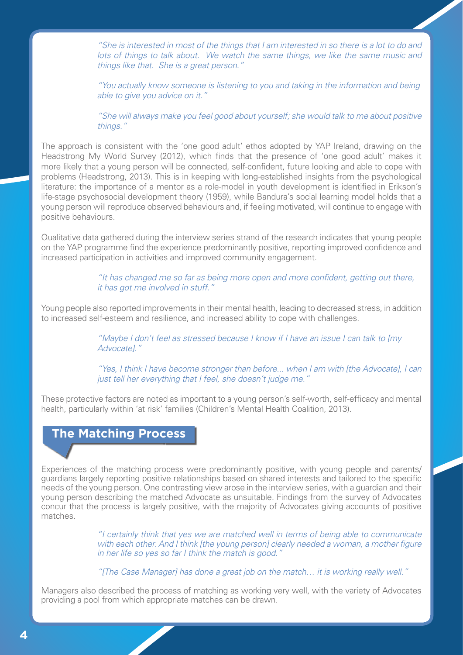*"She is interested in most of the things that I am interested in so there is a lot to do and lots of things to talk about. We watch the same things, we like the same music and things like that. She is a great person."*

 *"You actually know someone is listening to you and taking in the information and being able to give you advice on it."*

 *"She will always make you feel good about yourself; she would talk to me about positive things."*

The approach is consistent with the 'one good adult' ethos adopted by YAP Ireland, drawing on the Headstrong My World Survey (2012), which finds that the presence of 'one good adult' makes it more likely that a young person will be connected, self-confident, future looking and able to cope with problems (Headstrong, 2013). This is in keeping with long-established insights from the psychological literature: the importance of a mentor as a role-model in youth development is identified in Erikson's life-stage psychosocial development theory (1959), while Bandura's social learning model holds that a young person will reproduce observed behaviours and, if feeling motivated, will continue to engage with positive behaviours.

Qualitative data gathered during the interview series strand of the research indicates that young people on the YAP programme find the experience predominantly positive, reporting improved confidence and increased participation in activities and improved community engagement.

> *"It has changed me so far as being more open and more confident, getting out there, it has got me involved in stuff."*

Young people also reported improvements in their mental health, leading to decreased stress, in addition to increased self-esteem and resilience, and increased ability to cope with challenges.

> *"Maybe I don't feel as stressed because I know if I have an issue I can talk to [my Advocate]."*

 *"Yes, I think I have become stronger than before... when I am with [the Advocate], I can just tell her everything that I feel, she doesn't judge me."*

These protective factors are noted as important to a young person's self-worth, self-efficacy and mental health, particularly within 'at risk' families (Children's Mental Health Coalition, 2013).

### **The Matching Process**

Experiences of the matching process were predominantly positive, with young people and parents/ guardians largely reporting positive relationships based on shared interests and tailored to the specific needs of the young person. One contrasting view arose in the interview series, with a guardian and their young person describing the matched Advocate as unsuitable. Findings from the survey of Advocates concur that the process is largely positive, with the majority of Advocates giving accounts of positive matches.

> *"I certainly think that yes we are matched well in terms of being able to communicate*  with each other. And I think [the young person] clearly needed a woman, a mother figure *in her life so yes so far I think the match is good."*

 *"[The Case Manager] has done a great job on the match… it is working really well."*

Managers also described the process of matching as working very well, with the variety of Advocates providing a pool from which appropriate matches can be drawn.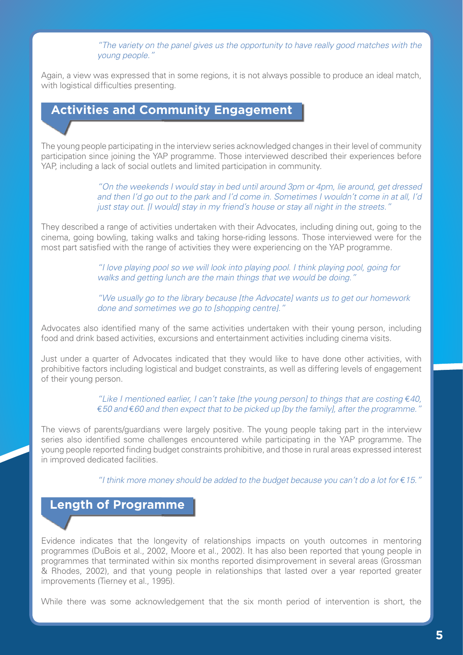*"The variety on the panel gives us the opportunity to have really good matches with the young people."* 

Again, a view was expressed that in some regions, it is not always possible to produce an ideal match, with logistical difficulties presenting.

## **Activities and Community Engagement**

The young people participating in the interview series acknowledged changes in their level of community participation since joining the YAP programme. Those interviewed described their experiences before YAP, including a lack of social outlets and limited participation in community.

> *"On the weekends I would stay in bed until around 3pm or 4pm, lie around, get dressed and then I'd go out to the park and I'd come in. Sometimes I wouldn't come in at all, I'd just stay out. [I would] stay in my friend's house or stay all night in the streets."*

They described a range of activities undertaken with their Advocates, including dining out, going to the cinema, going bowling, taking walks and taking horse-riding lessons. Those interviewed were for the most part satisfied with the range of activities they were experiencing on the YAP programme.

> *"I love playing pool so we will look into playing pool. I think playing pool, going for walks and getting lunch are the main things that we would be doing."*

 *"We usually go to the library because [the Advocate] wants us to get our homework done and sometimes we go to [shopping centre]."*

Advocates also identified many of the same activities undertaken with their young person, including food and drink based activities, excursions and entertainment activities including cinema visits.

Just under a quarter of Advocates indicated that they would like to have done other activities, with prohibitive factors including logistical and budget constraints, as well as differing levels of engagement of their young person.

> *"Like I mentioned earlier, I can't take [the young person] to things that are costing* €*40,* €*50 and* €*60 and then expect that to be picked up [by the family], after the programme."*

The views of parents/guardians were largely positive. The young people taking part in the interview series also identified some challenges encountered while participating in the YAP programme. The young people reported finding budget constraints prohibitive, and those in rural areas expressed interest in improved dedicated facilities.

*"I think more money should be added to the budget because you can't do a lot for* €*15."*

### **Length of Programme**

Evidence indicates that the longevity of relationships impacts on youth outcomes in mentoring programmes (DuBois et al., 2002, Moore et al., 2002). It has also been reported that young people in programmes that terminated within six months reported disimprovement in several areas (Grossman & Rhodes, 2002), and that young people in relationships that lasted over a year reported greater improvements (Tierney et al., 1995).

While there was some acknowledgement that the six month period of intervention is short, the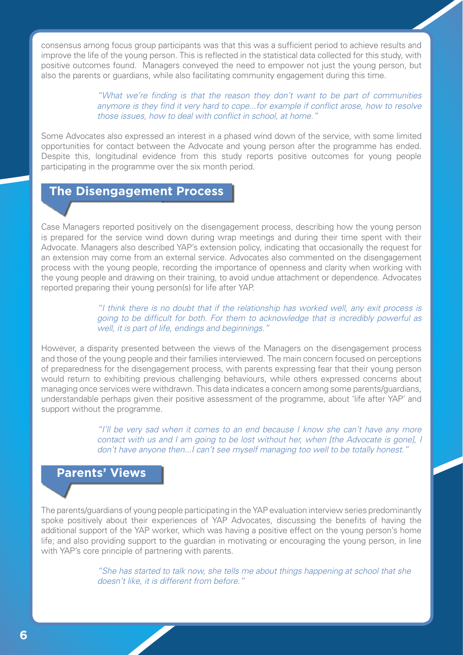consensus among focus group participants was that this was a sufficient period to achieve results and improve the life of the young person. This is reflected in the statistical data collected for this study, with positive outcomes found. Managers conveyed the need to empower not just the young person, but also the parents or guardians, while also facilitating community engagement during this time.

> *"What we're finding is that the reason they don't want to be part of communities* anymore is they find it very hard to cope...for example if conflict arose, how to resolve *those issues, how to deal with conflict in school, at home."*

Some Advocates also expressed an interest in a phased wind down of the service, with some limited opportunities for contact between the Advocate and young person after the programme has ended. Despite this, longitudinal evidence from this study reports positive outcomes for young people participating in the programme over the six month period.

### **The Disengagement Process**

Case Managers reported positively on the disengagement process, describing how the young person is prepared for the service wind down during wrap meetings and during their time spent with their Advocate. Managers also described YAP's extension policy, indicating that occasionally the request for an extension may come from an external service. Advocates also commented on the disengagement process with the young people, recording the importance of openness and clarity when working with the young people and drawing on their training, to avoid undue attachment or dependence. Advocates reported preparing their young person(s) for life after YAP.

> *"I think there is no doubt that if the relationship has worked well, any exit process is going to be difficult for both. For them to acknowledge that is incredibly powerful as well, it is part of life, endings and beginnings."*

However, a disparity presented between the views of the Managers on the disengagement process and those of the young people and their families interviewed. The main concern focused on perceptions of preparedness for the disengagement process, with parents expressing fear that their young person would return to exhibiting previous challenging behaviours, while others expressed concerns about managing once services were withdrawn. This data indicates a concern among some parents/guardians, understandable perhaps given their positive assessment of the programme, about 'life after YAP' and support without the programme.

> *"I'll be very sad when it comes to an end because I know she can't have any more contact with us and I am going to be lost without her, when [the Advocate is gone], I don't have anyone then...I can't see myself managing too well to be totally honest."*

#### **Parents' Views**

The parents/guardians of young people participating in the YAP evaluation interview series predominantly spoke positively about their experiences of YAP Advocates, discussing the benefits of having the additional support of the YAP worker, which was having a positive effect on the young person's home life; and also providing support to the guardian in motivating or encouraging the young person, in line with YAP's core principle of partnering with parents.

> *"She has started to talk now, she tells me about things happening at school that she doesn't like, it is different from before."*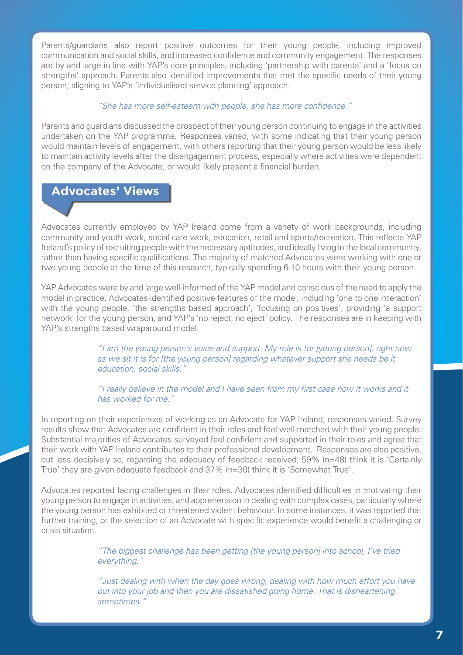Parents/guardians also report positive outcomes for their young people, including improved communication and social skills, and increased confidence and community engagement. The responses are by and large in line with YAP's core principles, including 'partnership with parents' and a 'focus on strengths' approach. Parents also identified improvements that met the specific needs of their young person, aligning to YAP's 'individualised service planning' approach.

#### *"She has more self-esteem with people, she has more confi dence."*

Parents and guardians discussed the prospect of their young person continuing to engage in the activities undertaken on the YAP programme. Responses varied, with some indicating that their young person would maintain levels of engagement, with others reporting that their young person would be less likely to maintain activity levels after the disengagement process, especially where activities were dependent on the company of the Advocate, or would likely present a financial burden.

#### **Advocates' Views**

Advocates currently employed by YAP Ireland come from a variety of work backgrounds, including community and youth work, social care work, education, retail and sports/recreation. This reflects YAP Ireland's policy of recruiting people with the necessary aptitudes, and ideally living in the local community, rather than having specific qualifications. The majority of matched Advocates were working with one or two young people at the time of this research, typically spending 6-10 hours with their young person.

YAP Advocates were by and large well-informed of the YAP model and conscious of the need to apply the model in practice. Advocates identified positive features of the model, including 'one to one interaction' with the young people, 'the strengths based approach', 'focusing on positives', providing 'a support network' for the young person, and YAP's 'no reject, no eject' policy. The responses are in keeping with YAP's strengths based wraparound model.

> *"I am the young person's voice and support. My role is for [young person], right now*  as we sit it is for [the young person] regarding whatever support she needs be it  *education, social skills."*

> *"I really believe in the model and I have seen from my fi rst case how it works and it has worked for me."*

In reporting on their experiences of working as an Advocate for YAP Ireland, responses varied. Survey results show that Advocates are confident in their roles and feel well-matched with their young people. Substantial majorities of Advocates surveyed feel confident and supported in their roles and agree that their work with YAP Ireland contributes to their professional development. Responses are also positive, but less decisively so, regarding the adequacy of feedback received; 59% (n=48) think it is 'Certainly True' they are given adequate feedback and 37% (n=30) think it is 'Somewhat True'.

Advocates reported facing challenges in their roles. Advocates identified difficulties in motivating their young person to engage in activities, and apprehension in dealing with complex cases, particularly where the young person has exhibited or threatened violent behaviour. In some instances, it was reported that further training, or the selection of an Advocate with specific experience would benefit a challenging or crisis situation.

> *"The biggest challenge has been getting [the young person] into school, I've tried everything."*

 *"Just dealing with when the day goes wrong, dealing with how much effort you have*  put into your job and then you are dissatisfied going home. That is disheartening  *sometimes."*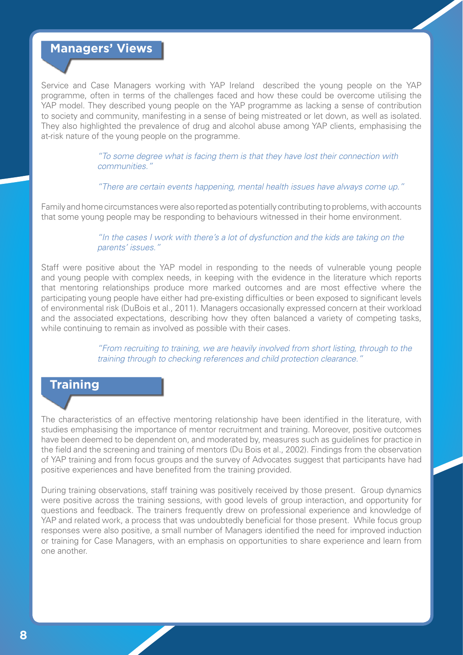#### **Managers' Views**

Service and Case Managers working with YAP Ireland described the young people on the YAP programme, often in terms of the challenges faced and how these could be overcome utilising the YAP model. They described young people on the YAP programme as lacking a sense of contribution to society and community, manifesting in a sense of being mistreated or let down, as well as isolated. They also highlighted the prevalence of drug and alcohol abuse among YAP clients, emphasising the at-risk nature of the young people on the programme.

> *"To some degree what is facing them is that they have lost their connection with communities."*

*"There are certain events happening, mental health issues have always come up."* 

Family and home circumstances were also reported as potentially contributing to problems, with accounts that some young people may be responding to behaviours witnessed in their home environment.

#### *"In the cases I work with there's a lot of dysfunction and the kids are taking on the parents' issues."*

Staff were positive about the YAP model in responding to the needs of vulnerable young people and young people with complex needs, in keeping with the evidence in the literature which reports that mentoring relationships produce more marked outcomes and are most effective where the participating young people have either had pre-existing difficulties or been exposed to significant levels of environmental risk (DuBois et al., 2011). Managers occasionally expressed concern at their workload and the associated expectations, describing how they often balanced a variety of competing tasks, while continuing to remain as involved as possible with their cases.

> *"From recruiting to training, we are heavily involved from short listing, through to the training through to checking references and child protection clearance."*

### **Training**

The characteristics of an effective mentoring relationship have been identified in the literature, with studies emphasising the importance of mentor recruitment and training. Moreover, positive outcomes have been deemed to be dependent on, and moderated by, measures such as guidelines for practice in the field and the screening and training of mentors (Du Bois et al., 2002). Findings from the observation of YAP training and from focus groups and the survey of Advocates suggest that participants have had positive experiences and have benefited from the training provided.

During training observations, staff training was positively received by those present. Group dynamics were positive across the training sessions, with good levels of group interaction, and opportunity for questions and feedback. The trainers frequently drew on professional experience and knowledge of YAP and related work, a process that was undoubtedly beneficial for those present. While focus group responses were also positive, a small number of Managers identified the need for improved induction or training for Case Managers, with an emphasis on opportunities to share experience and learn from one another.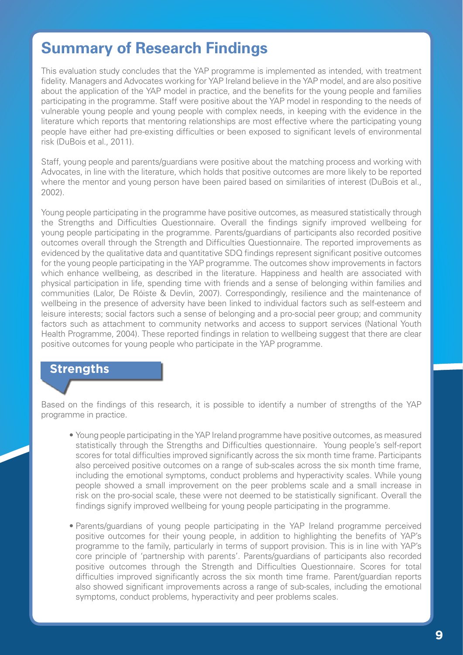## **Summary of Research Findings**

This evaluation study concludes that the YAP programme is implemented as intended, with treatment fidelity. Managers and Advocates working for YAP Ireland believe in the YAP model, and are also positive about the application of the YAP model in practice, and the benefits for the young people and families participating in the programme. Staff were positive about the YAP model in responding to the needs of vulnerable young people and young people with complex needs, in keeping with the evidence in the literature which reports that mentoring relationships are most effective where the participating young people have either had pre-existing difficulties or been exposed to significant levels of environmental risk (DuBois et al., 2011).

Staff, young people and parents/guardians were positive about the matching process and working with Advocates, in line with the literature, which holds that positive outcomes are more likely to be reported where the mentor and young person have been paired based on similarities of interest (DuBois et al., 2002).

Young people participating in the programme have positive outcomes, as measured statistically through the Strengths and Difficulties Questionnaire. Overall the findings signify improved wellbeing for young people participating in the programme. Parents/guardians of participants also recorded positive outcomes overall through the Strength and Difficulties Questionnaire. The reported improvements as evidenced by the qualitative data and quantitative SDQ findings represent significant positive outcomes for the young people participating in the YAP programme. The outcomes show improvements in factors which enhance wellbeing, as described in the literature. Happiness and health are associated with physical participation in life, spending time with friends and a sense of belonging within families and communities (Lalor, De Róiste & Devlin, 2007). Correspondingly, resilience and the maintenance of wellbeing in the presence of adversity have been linked to individual factors such as self-esteem and leisure interests; social factors such a sense of belonging and a pro-social peer group; and community factors such as attachment to community networks and access to support services (National Youth Health Programme, 2004). These reported findings in relation to wellbeing suggest that there are clear positive outcomes for young people who participate in the YAP programme.

#### **Strengths**

Based on the findings of this research, it is possible to identify a number of strengths of the YAP programme in practice.

- Young people participating in the YAP Ireland programme have positive outcomes, as measured statistically through the Strengths and Difficulties questionnaire. Young people's self-report scores for total difficulties improved significantly across the six month time frame. Participants also perceived positive outcomes on a range of sub-scales across the six month time frame, including the emotional symptoms, conduct problems and hyperactivity scales. While young people showed a small improvement on the peer problems scale and a small increase in risk on the pro-social scale, these were not deemed to be statistically significant. Overall the findings signify improved wellbeing for young people participating in the programme.
- Parents/guardians of young people participating in the YAP Ireland programme perceived positive outcomes for their young people, in addition to highlighting the benefits of YAP's programme to the family, particularly in terms of support provision. This is in line with YAP's core principle of 'partnership with parents'. Parents/guardians of participants also recorded positive outcomes through the Strength and Difficulties Questionnaire. Scores for total difficulties improved significantly across the six month time frame. Parent/guardian reports also showed significant improvements across a range of sub-scales, including the emotional symptoms, conduct problems, hyperactivity and peer problems scales.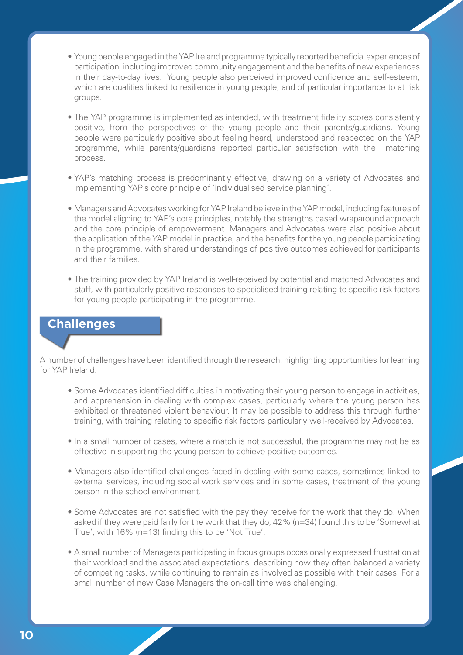- Young people engaged in the YAP Ireland programme typically reported beneficial experiences of participation, including improved community engagement and the benefits of new experiences in their day-to-day lives. Young people also perceived improved confidence and self-esteem, which are qualities linked to resilience in young people, and of particular importance to at risk groups.
- The YAP programme is implemented as intended, with treatment fidelity scores consistently positive, from the perspectives of the young people and their parents/guardians. Young people were particularly positive about feeling heard, understood and respected on the YAP programme, while parents/guardians reported particular satisfaction with the matching process.
- YAP's matching process is predominantly effective, drawing on a variety of Advocates and implementing YAP's core principle of 'individualised service planning'.
- Managers and Advocates working for YAP Ireland believe in the YAP model, including features of the model aligning to YAP's core principles, notably the strengths based wraparound approach and the core principle of empowerment. Managers and Advocates were also positive about the application of the YAP model in practice, and the benefits for the young people participating in the programme, with shared understandings of positive outcomes achieved for participants and their families.
- The training provided by YAP Ireland is well-received by potential and matched Advocates and staff, with particularly positive responses to specialised training relating to specific risk factors for young people participating in the programme.

### **Challenges**

A number of challenges have been identified through the research, highlighting opportunities for learning for YAP Ireland.

- Some Advocates identified difficulties in motivating their young person to engage in activities, and apprehension in dealing with complex cases, particularly where the young person has exhibited or threatened violent behaviour. It may be possible to address this through further training, with training relating to specific risk factors particularly well-received by Advocates.
- In a small number of cases, where a match is not successful, the programme may not be as effective in supporting the young person to achieve positive outcomes.
- Managers also identified challenges faced in dealing with some cases, sometimes linked to external services, including social work services and in some cases, treatment of the young person in the school environment.
- Some Advocates are not satisfied with the pay they receive for the work that they do. When asked if they were paid fairly for the work that they do, 42% (n=34) found this to be 'Somewhat True', with  $16\%$  (n=13) finding this to be 'Not True'.
- A small number of Managers participating in focus groups occasionally expressed frustration at their workload and the associated expectations, describing how they often balanced a variety of competing tasks, while continuing to remain as involved as possible with their cases. For a small number of new Case Managers the on-call time was challenging.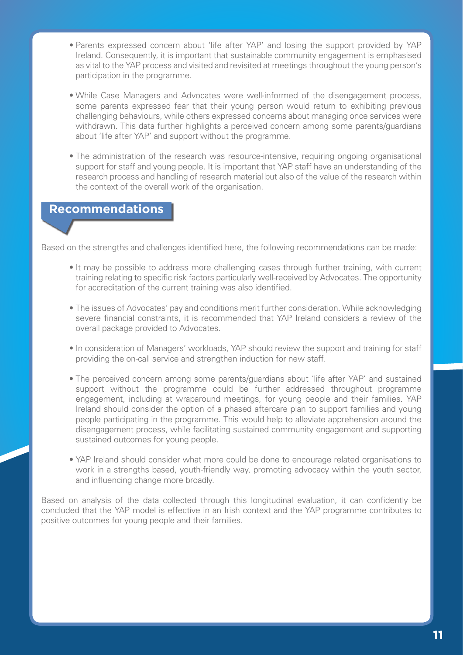- Parents expressed concern about 'life after YAP' and losing the support provided by YAP Ireland. Consequently, it is important that sustainable community engagement is emphasised as vital to the YAP process and visited and revisited at meetings throughout the young person's participation in the programme.
- While Case Managers and Advocates were well-informed of the disengagement process, some parents expressed fear that their young person would return to exhibiting previous challenging behaviours, while others expressed concerns about managing once services were withdrawn. This data further highlights a perceived concern among some parents/quardians about 'life after YAP' and support without the programme.
- The administration of the research was resource-intensive, requiring ongoing organisational support for staff and young people. It is important that YAP staff have an understanding of the research process and handling of research material but also of the value of the research within the context of the overall work of the organisation.

#### **Recommendations**

Based on the strengths and challenges identified here, the following recommendations can be made:

- It may be possible to address more challenging cases through further training, with current training relating to specific risk factors particularly well-received by Advocates. The opportunity for accreditation of the current training was also identified.
- The issues of Advocates' pay and conditions merit further consideration. While acknowledging severe financial constraints, it is recommended that YAP Ireland considers a review of the overall package provided to Advocates.
- In consideration of Managers' workloads, YAP should review the support and training for staff providing the on-call service and strengthen induction for new staff.
- The perceived concern among some parents/guardians about 'life after YAP' and sustained support without the programme could be further addressed throughout programme engagement, including at wraparound meetings, for young people and their families. YAP Ireland should consider the option of a phased aftercare plan to support families and young people participating in the programme. This would help to alleviate apprehension around the disengagement process, while facilitating sustained community engagement and supporting sustained outcomes for young people.
- YAP Ireland should consider what more could be done to encourage related organisations to work in a strengths based, youth-friendly way, promoting advocacy within the youth sector, and influencing change more broadly.

Based on analysis of the data collected through this longitudinal evaluation, it can confidently be concluded that the YAP model is effective in an Irish context and the YAP programme contributes to positive outcomes for young people and their families.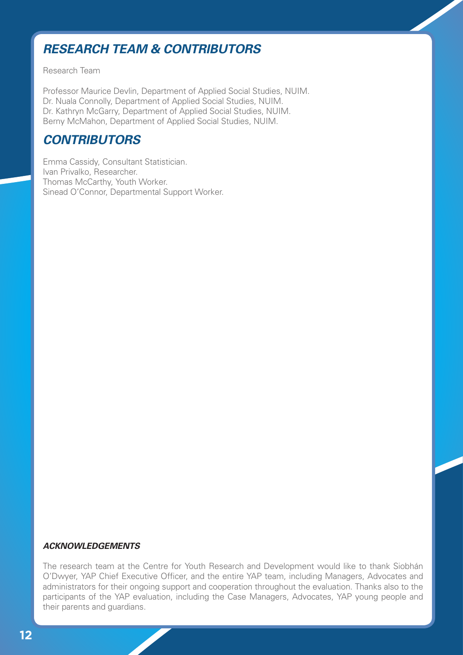## *RESEARCH TEAM & CONTRIBUTORS*

Research Team

Professor Maurice Devlin, Department of Applied Social Studies, NUIM. Dr. Nuala Connolly, Department of Applied Social Studies, NUIM. Dr. Kathryn McGarry, Department of Applied Social Studies, NUIM. Berny McMahon, Department of Applied Social Studies, NUIM.

## *CONTRIBUTORS*

Emma Cassidy, Consultant Statistician. Ivan Privalko, Researcher. Thomas McCarthy, Youth Worker. Sinead O'Connor, Departmental Support Worker.

#### *ACKNOWLEDGEMENTS*

The research team at the Centre for Youth Research and Development would like to thank Siobhán O'Dwyer, YAP Chief Executive Officer, and the entire YAP team, including Managers, Advocates and administrators for their ongoing support and cooperation throughout the evaluation. Thanks also to the participants of the YAP evaluation, including the Case Managers, Advocates, YAP young people and their parents and guardians.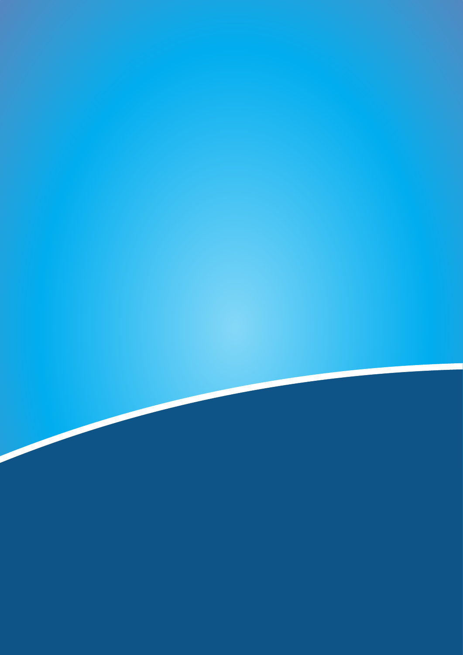